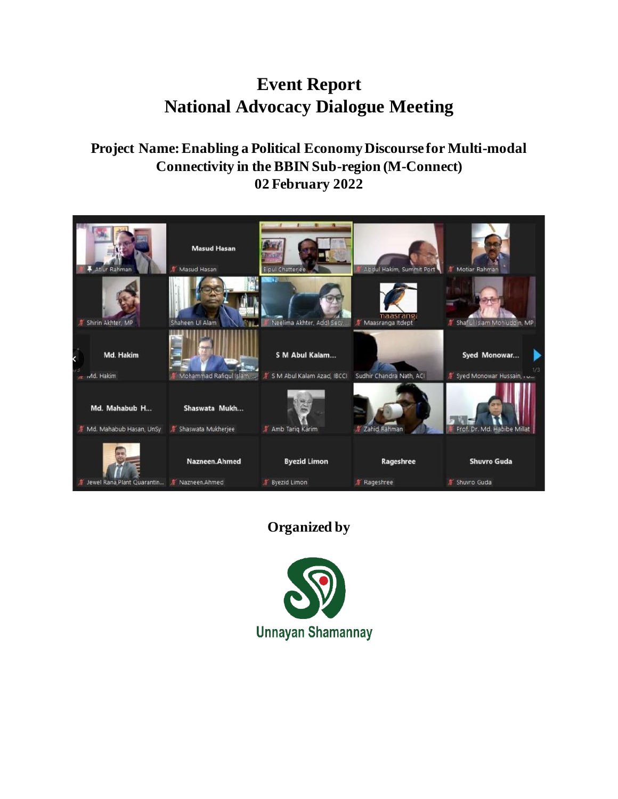# **Event Report National Advocacy Dialogue Meeting**

# **Project Name: Enabling a Political Economy Discourse for Multi-modal Connectivity in the BBIN Sub-region (M-Connect) 02 February 2022**



# **Organized by**

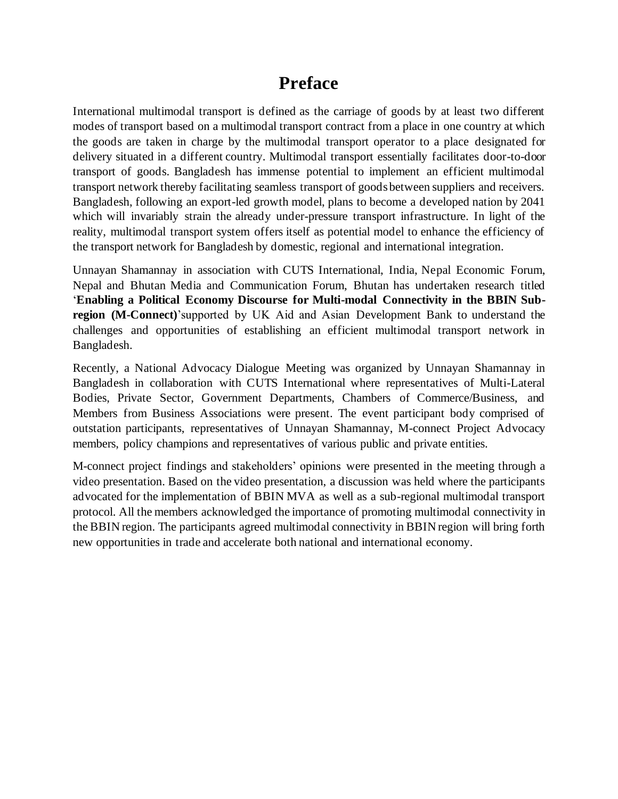# **Preface**

International multimodal transport is defined as the carriage of goods by at least two different modes of transport based on a multimodal transport contract from a place in one country at which the goods are taken in charge by the multimodal transport operator to a place designated for delivery situated in a different country. Multimodal transport essentially facilitates door-to-door transport of goods. Bangladesh has immense potential to implement an efficient multimodal transport network thereby facilitating seamless transport of goods between suppliers and receivers. Bangladesh, following an export-led growth model, plans to become a developed nation by 2041 which will invariably strain the already under-pressure transport infrastructure. In light of the reality, multimodal transport system offers itself as potential model to enhance the efficiency of the transport network for Bangladesh by domestic, regional and international integration.

Unnayan Shamannay in association with CUTS International, India, Nepal Economic Forum, Nepal and Bhutan Media and Communication Forum, Bhutan has undertaken research titled '**Enabling a Political Economy Discourse for Multi-modal Connectivity in the BBIN Subregion (M-Connect)**'supported by UK Aid and Asian Development Bank to understand the challenges and opportunities of establishing an efficient multimodal transport network in Bangladesh.

Recently, a National Advocacy Dialogue Meeting was organized by Unnayan Shamannay in Bangladesh in collaboration with CUTS International where representatives of Multi-Lateral Bodies, Private Sector, Government Departments, Chambers of Commerce/Business, and Members from Business Associations were present. The event participant body comprised of outstation participants, representatives of Unnayan Shamannay, M-connect Project Advocacy members, policy champions and representatives of various public and private entities.

M-connect project findings and stakeholders' opinions were presented in the meeting through a video presentation. Based on the video presentation, a discussion was held where the participants advocated for the implementation of BBIN MVA as well as a sub-regional multimodal transport protocol. All the members acknowledged the importance of promoting multimodal connectivity in the BBIN region. The participants agreed multimodal connectivity in BBIN region will bring forth new opportunities in trade and accelerate both national and international economy.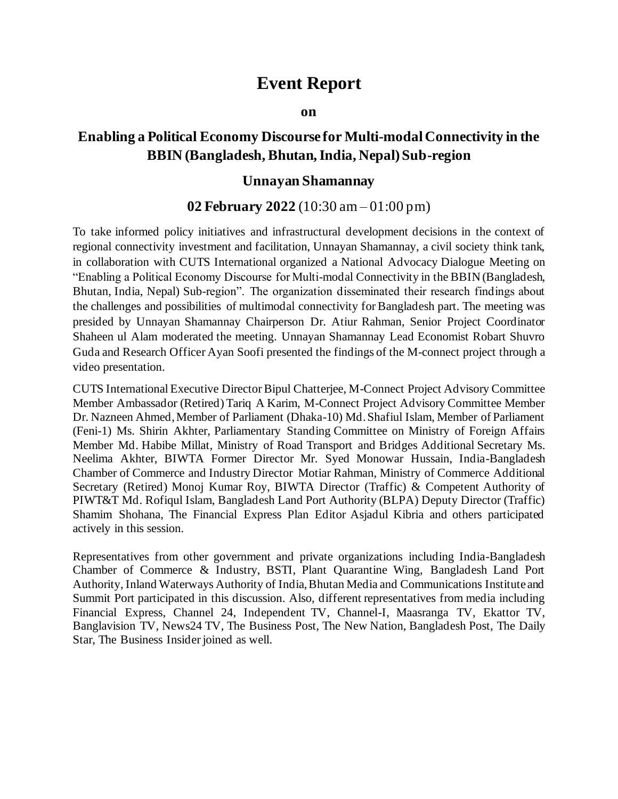# **Event Report**

#### **on**

# **Enabling a Political Economy Discourse for Multi-modal Connectivity in the BBIN (Bangladesh, Bhutan, India, Nepal) Sub-region**

## **Unnayan Shamannay**

## **02 February 2022** (10:30 am – 01:00 pm)

To take informed policy initiatives and infrastructural development decisions in the context of regional connectivity investment and facilitation, Unnayan Shamannay, a civil society think tank, in collaboration with CUTS International organized a National Advocacy Dialogue Meeting on "Enabling a Political Economy Discourse for Multi-modal Connectivity in the BBIN (Bangladesh, Bhutan, India, Nepal) Sub-region". The organization disseminated their research findings about the challenges and possibilities of multimodal connectivity for Bangladesh part. The meeting was presided by Unnayan Shamannay Chairperson Dr. Atiur Rahman, Senior Project Coordinator Shaheen ul Alam moderated the meeting. Unnayan Shamannay Lead Economist Robart Shuvro Guda and Research Officer Ayan Soofi presented the findings of the M-connect project through a video presentation.

CUTS International Executive Director Bipul Chatterjee, M-Connect Project Advisory Committee Member Ambassador (Retired) Tariq A Karim, M-Connect Project Advisory Committee Member Dr. Nazneen Ahmed, Member of Parliament (Dhaka-10) Md. Shafiul Islam, Member of Parliament (Feni-1) Ms. Shirin Akhter, Parliamentary Standing Committee on Ministry of Foreign Affairs Member Md. Habibe Millat, Ministry of Road Transport and Bridges Additional Secretary Ms. Neelima Akhter, BIWTA Former Director Mr. Syed Monowar Hussain, India-Bangladesh Chamber of Commerce and Industry Director Motiar Rahman, Ministry of Commerce Additional Secretary (Retired) Monoj Kumar Roy, BIWTA Director (Traffic) & Competent Authority of PIWT&T Md. Rofiqul Islam, Bangladesh Land Port Authority (BLPA) Deputy Director (Traffic) Shamim Shohana, The Financial Express Plan Editor Asjadul Kibria and others participated actively in this session.

Representatives from other government and private organizations including India-Bangladesh Chamber of Commerce & Industry, BSTI, Plant Quarantine Wing, Bangladesh Land Port Authority, Inland Waterways Authority of India, Bhutan Media and Communications Institute and Summit Port participated in this discussion. Also, different representatives from media including Financial Express, Channel 24, Independent TV, Channel-I, Maasranga TV, Ekattor TV, Banglavision TV, News24 TV, The Business Post, The New Nation, Bangladesh Post, The Daily Star, The Business Insider joined as well.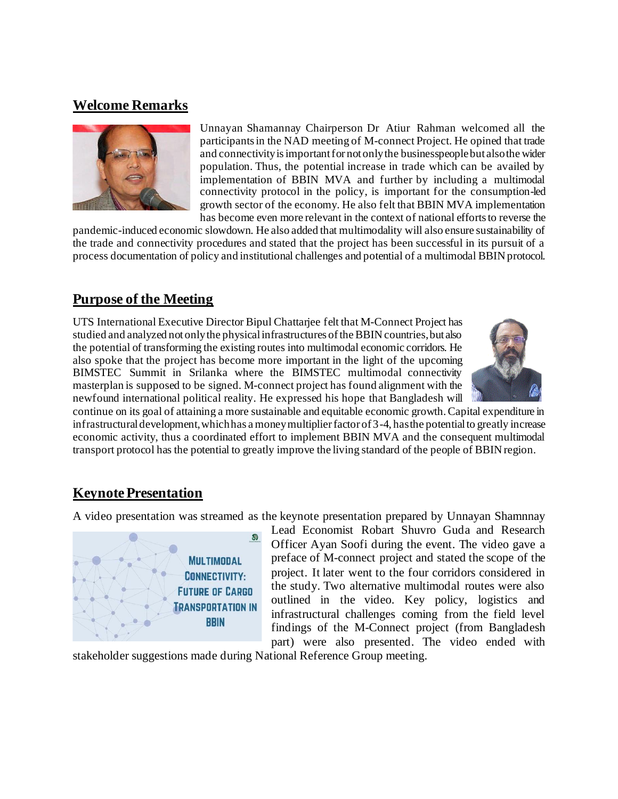## **Welcome Remarks**



Unnayan Shamannay Chairperson Dr Atiur Rahman welcomed all the participants in the NAD meeting of M-connect Project. He opined that trade and connectivity is important for not only the businesspeoplebut also the wider population. Thus, the potential increase in trade which can be availed by implementation of BBIN MVA and further by including a multimodal connectivity protocol in the policy, is important for the consumption-led growth sector of the economy. He also felt that BBIN MVA implementation has become even more relevant in the context of national efforts to reverse the

pandemic-induced economic slowdown. He also added that multimodality will also ensure sustainability of the trade and connectivity procedures and stated that the project has been successful in its pursuit of a process documentation of policy and institutional challenges and potential of a multimodal BBIN protocol.

## **Purpose of the Meeting**

UTS International Executive Director Bipul Chattarjee felt that M-Connect Project has studied and analyzed not only the physical infrastructures of the BBIN countries, but also the potential of transforming the existing routes into multimodal economic corridors. He also spoke that the project has become more important in the light of the upcoming BIMSTEC Summit in Srilanka where the BIMSTEC multimodal connectivity masterplan is supposed to be signed. M-connect project has found alignment with the newfound international political reality. He expressed his hope that Bangladesh will



continue on its goal of attaining a more sustainable and equitable economic growth. Capital expenditure in infrastructural development, which has a money multiplier factor of 3-4, has the potential to greatly increase economic activity, thus a coordinated effort to implement BBIN MVA and the consequent multimodal transport protocol has the potential to greatly improve the living standard of the people of BBIN region.

## **Keynote Presentation**

A video presentation was streamed as the keynote presentation prepared by Unnayan Shamnnay



Lead Economist Robart Shuvro Guda and Research Officer Ayan Soofi during the event. The video gave a preface of M-connect project and stated the scope of the project. It later went to the four corridors considered in the study. Two alternative multimodal routes were also outlined in the video. Key policy, logistics and infrastructural challenges coming from the field level findings of the M-Connect project (from Bangladesh part) were also presented. The video ended with

stakeholder suggestions made during National Reference Group meeting.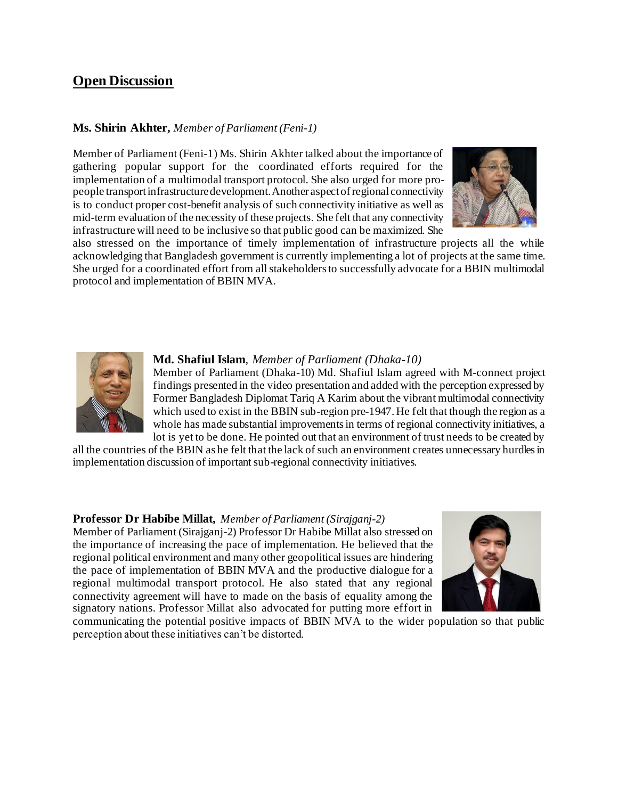## **Open Discussion**

#### **Ms. Shirin Akhter,** *Member of Parliament (Feni-1)*

Member of Parliament (Feni-1) Ms. Shirin Akhter talked about the importance of gathering popular support for the coordinated efforts required for the implementation of a multimodal transport protocol. She also urged for more propeople transport infrastructure development. Another aspect of regional connectivity is to conduct proper cost-benefit analysis of such connectivity initiative as well as mid-term evaluation of the necessity of these projects. She felt that any connectivity infrastructure will need to be inclusive so that public good can be maximized. She



also stressed on the importance of timely implementation of infrastructure projects all the while acknowledging that Bangladesh government is currently implementing a lot of projects at the same time. She urged for a coordinated effort from all stakeholders to successfully advocate for a BBIN multimodal protocol and implementation of BBIN MVA.



#### **Md. Shafiul Islam**, *Member of Parliament (Dhaka-10)*

Member of Parliament (Dhaka-10) Md. Shafiul Islam agreed with M-connect project findings presented in the video presentation and added with the perception expressed by Former Bangladesh Diplomat Tariq A Karim about the vibrant multimodal connectivity which used to exist in the BBIN sub-region pre-1947. He felt that though the region as a whole has made substantial improvements in terms of regional connectivity initiatives, a lot is yet to be done. He pointed out that an environment of trust needs to be created by

all the countries of the BBIN as he felt that the lack of such an environment creates unnecessary hurdles in implementation discussion of important sub-regional connectivity initiatives.

#### **Professor Dr Habibe Millat,** *Member of Parliament (Sirajganj-2)*

Member of Parliament (Sirajganj-2) Professor Dr Habibe Millat also stressed on the importance of increasing the pace of implementation. He believed that the regional political environment and many other geopolitical issues are hindering the pace of implementation of BBIN MVA and the productive dialogue for a regional multimodal transport protocol. He also stated that any regional connectivity agreement will have to made on the basis of equality among the signatory nations. Professor Millat also advocated for putting more effort in



communicating the potential positive impacts of BBIN MVA to the wider population so that public perception about these initiatives can't be distorted.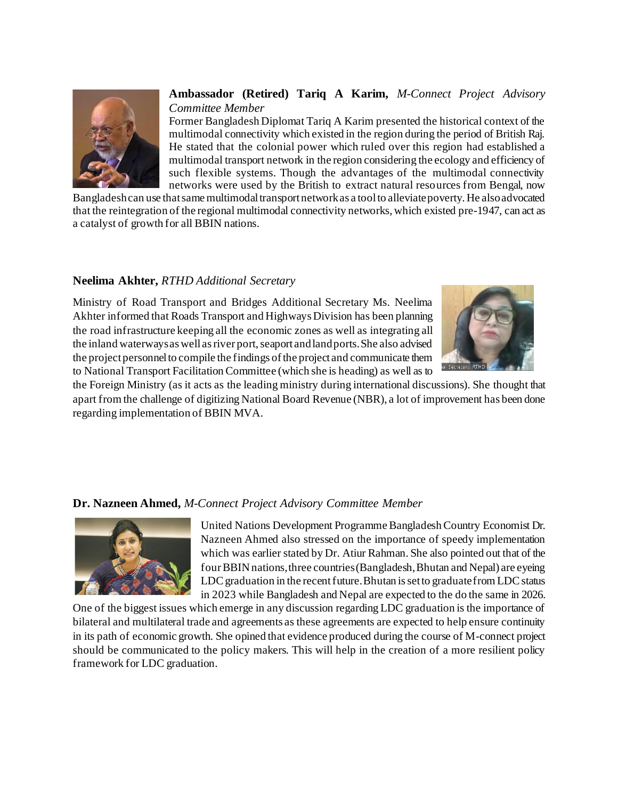

### **Ambassador (Retired) Tariq A Karim,** *M-Connect Project Advisory Committee Member*

Former Bangladesh Diplomat Tariq A Karim presented the historical context of the multimodal connectivity which existed in the region during the period of British Raj. He stated that the colonial power which ruled over this region had established a multimodal transport network in the region considering the ecology and efficiency of such flexible systems. Though the advantages of the multimodal connectivity networks were used by the British to extract natural resources from Bengal, now

Bangladesh can use that same multimodal transport network as a tool to alleviate poverty. He also advocated that the reintegration of the regional multimodal connectivity networks, which existed pre-1947, can act as a catalyst of growth for all BBIN nations.

#### **Neelima Akhter,** *RTHD Additional Secretary*

Ministry of Road Transport and Bridges Additional Secretary Ms. Neelima Akhter informed that Roads Transport and Highways Division has been planning the road infrastructure keeping all the economic zones as well as integrating all the inland waterways as well as river port, seaport and land ports. She also advised the project personnel to compile the findings of the project and communicate them to National Transport Facilitation Committee (which she is heading) as well as to



the Foreign Ministry (as it acts as the leading ministry during international discussions). She thought that apart from the challenge of digitizing National Board Revenue (NBR), a lot of improvement has been done regarding implementation of BBIN MVA.

#### **Dr. Nazneen Ahmed,** *M-Connect Project Advisory Committee Member*



United Nations Development Programme Bangladesh Country Economist Dr. Nazneen Ahmed also stressed on the importance of speedy implementation which was earlier stated by Dr. Atiur Rahman. She also pointed out that of the four BBIN nations, three countries (Bangladesh, Bhutan and Nepal) are eyeing LDC graduation in the recent future. Bhutan is set to graduate from LDC status in 2023 while Bangladesh and Nepal are expected to the do the same in 2026.

One of the biggest issues which emerge in any discussion regarding LDC graduation is the importance of bilateral and multilateral trade and agreements as these agreements are expected to help ensure continuity in its path of economic growth. She opined that evidence produced during the course of M-connect project should be communicated to the policy makers. This will help in the creation of a more resilient policy framework for LDC graduation.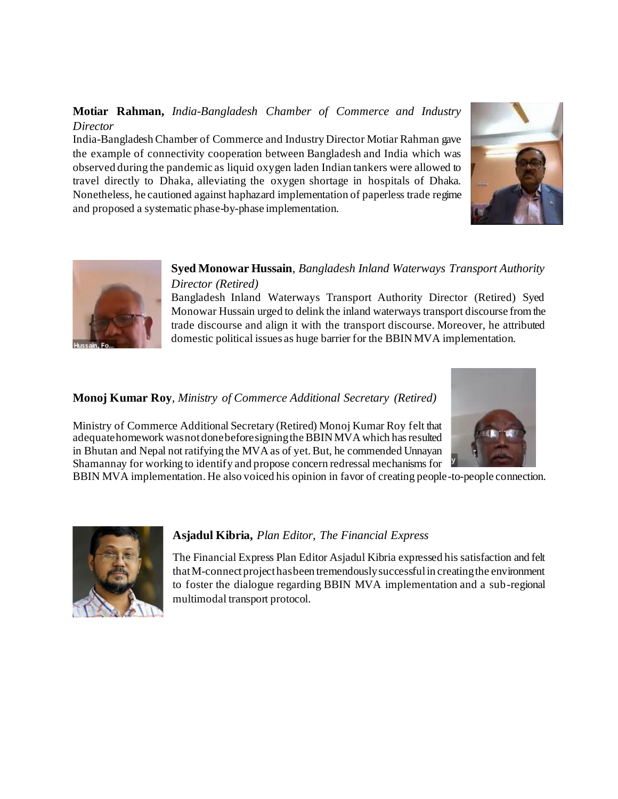## **Motiar Rahman,** *India-Bangladesh Chamber of Commerce and Industry Director*

India-Bangladesh Chamber of Commerce and Industry Director Motiar Rahman gave the example of connectivity cooperation between Bangladesh and India which was observed during the pandemic as liquid oxygen laden Indian tankers were allowed to travel directly to Dhaka, alleviating the oxygen shortage in hospitals of Dhaka. Nonetheless, he cautioned against haphazard implementation of paperless trade regime and proposed a systematic phase-by-phase implementation.





## **Syed Monowar Hussain**, *Bangladesh Inland Waterways Transport Authority Director (Retired)*

Bangladesh Inland Waterways Transport Authority Director (Retired) Syed Monowar Hussain urged to delink the inland waterways transport discourse from the trade discourse and align it with the transport discourse. Moreover, he attributed domestic political issues as huge barrier for the BBIN MVA implementation.

## **Monoj Kumar Roy**, *Ministry of Commerce Additional Secretary (Retired)*

Ministry of Commerce Additional Secretary (Retired) Monoj Kumar Roy felt that adequate homework was not done before signing the BBIN MVA which has resulted in Bhutan and Nepal not ratifying the MVA as of yet. But, he commended Unnayan Shamannay for working to identify and propose concern redressal mechanisms for



BBIN MVA implementation. He also voiced his opinion in favor of creating people-to-people connection.



## **Asjadul Kibria,** *Plan Editor, The Financial Express*

The Financial Express Plan Editor Asjadul Kibria expressed his satisfaction and felt that M-connect project has been tremendously successful in creating the environment to foster the dialogue regarding BBIN MVA implementation and a sub-regional multimodal transport protocol.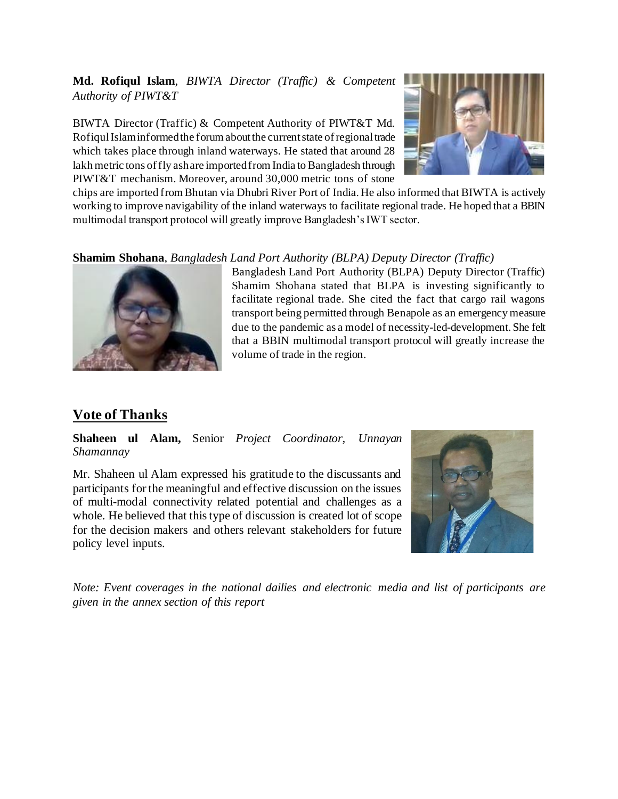## **Md. Rofiqul Islam**, *BIWTA Director (Traffic) & Competent Authority of PIWT&T*

BIWTA Director (Traffic) & Competent Authority of PIWT&T Md. Rofiqul Islam informed the forum about the current state of regional trade which takes place through inland waterways. He stated that around 28 lakh metric tons of fly ash are imported from India to Bangladesh through PIWT&T mechanism. Moreover, around 30,000 metric tons of stone



chips are imported from Bhutan via Dhubri River Port of India. He also informed that BIWTA is actively working to improve navigability of the inland waterways to facilitate regional trade. He hoped that a BBIN multimodal transport protocol will greatly improve Bangladesh's IWT sector.

### **Shamim Shohana**, *Bangladesh Land Port Authority (BLPA) Deputy Director (Traffic)*



Bangladesh Land Port Authority (BLPA) Deputy Director (Traffic) Shamim Shohana stated that BLPA is investing significantly to facilitate regional trade. She cited the fact that cargo rail wagons transport being permitted through Benapole as an emergency measure due to the pandemic as a model of necessity-led-development. She felt that a BBIN multimodal transport protocol will greatly increase the volume of trade in the region.

# **Vote of Thanks**

**Shaheen ul Alam,** Senior *Project Coordinator, Unnayan Shamannay*

Mr. Shaheen ul Alam expressed his gratitude to the discussants and participants for the meaningful and effective discussion on the issues of multi-modal connectivity related potential and challenges as a whole. He believed that this type of discussion is created lot of scope for the decision makers and others relevant stakeholders for future policy level inputs.



*Note: Event coverages in the national dailies and electronic media and list of participants are given in the annex section of this report*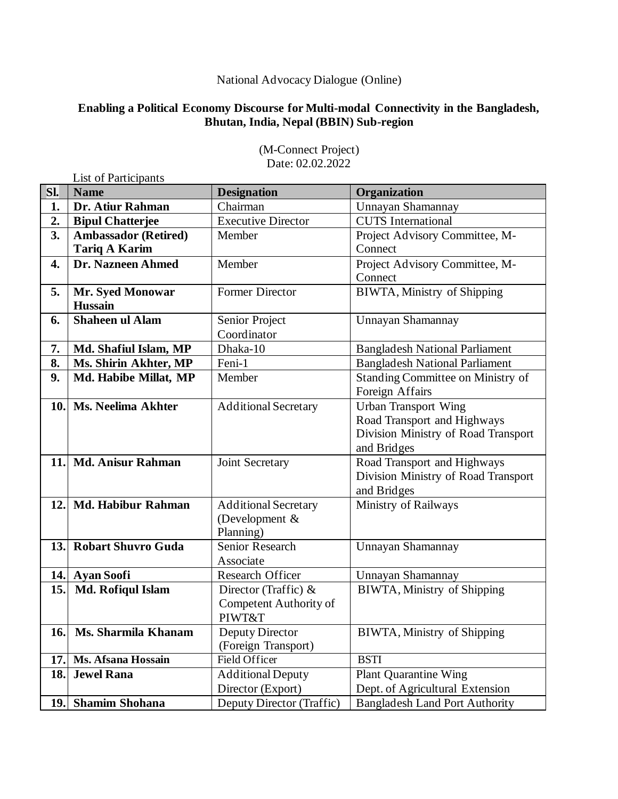## National Advocacy Dialogue (Online)

## **Enabling a Political Economy Discourse for Multi-modal Connectivity in the Bangladesh, Bhutan, India, Nepal (BBIN) Sub-region**

|     | List of Participants        |                             |                                       |  |
|-----|-----------------------------|-----------------------------|---------------------------------------|--|
| Sl. | <b>Name</b>                 | <b>Designation</b>          | Organization                          |  |
| 1.  | Dr. Atiur Rahman            | Chairman                    | Unnayan Shamannay                     |  |
| 2.  | <b>Bipul Chatterjee</b>     | <b>Executive Director</b>   | <b>CUTS</b> International             |  |
| 3.  | <b>Ambassador (Retired)</b> | Member                      | Project Advisory Committee, M-        |  |
|     | <b>Tariq A Karim</b>        |                             | Connect                               |  |
| 4.  | Dr. Nazneen Ahmed           | Member                      | Project Advisory Committee, M-        |  |
|     |                             |                             | Connect                               |  |
| 5.  | <b>Mr. Syed Monowar</b>     | <b>Former Director</b>      | BIWTA, Ministry of Shipping           |  |
|     | <b>Hussain</b>              |                             |                                       |  |
| 6.  | <b>Shaheen ul Alam</b>      | Senior Project              | Unnayan Shamannay                     |  |
|     |                             | Coordinator                 |                                       |  |
| 7.  | Md. Shafiul Islam, MP       | Dhaka-10                    | <b>Bangladesh National Parliament</b> |  |
| 8.  | Ms. Shirin Akhter, MP       | Feni-1                      | <b>Bangladesh National Parliament</b> |  |
| 9.  | Md. Habibe Millat, MP       | Member                      | Standing Committee on Ministry of     |  |
|     |                             |                             | Foreign Affairs                       |  |
| 10. | <b>Ms. Neelima Akhter</b>   | <b>Additional Secretary</b> | <b>Urban Transport Wing</b>           |  |
|     |                             |                             | Road Transport and Highways           |  |
|     |                             |                             | Division Ministry of Road Transport   |  |
|     |                             |                             | and Bridges                           |  |
| 11. | <b>Md. Anisur Rahman</b>    | Joint Secretary             | Road Transport and Highways           |  |
|     |                             |                             | Division Ministry of Road Transport   |  |
|     |                             |                             | and Bridges                           |  |
| 12. | <b>Md. Habibur Rahman</b>   | <b>Additional Secretary</b> | Ministry of Railways                  |  |
|     |                             | (Development $&$            |                                       |  |
|     |                             | Planning)                   |                                       |  |
| 13. | <b>Robart Shuvro Guda</b>   | Senior Research             | Unnayan Shamannay                     |  |
|     |                             | Associate                   |                                       |  |
| 14. | <b>Ayan Soofi</b>           | <b>Research Officer</b>     | Unnayan Shamannay                     |  |
| 15. | Md. Rofiqul Islam           | Director (Traffic) $&$      | BIWTA, Ministry of Shipping           |  |
|     |                             | Competent Authority of      |                                       |  |
|     |                             | PIWT&T                      |                                       |  |
| 16. | Ms. Sharmila Khanam         | Deputy Director             | BIWTA, Ministry of Shipping           |  |
|     |                             | (Foreign Transport)         |                                       |  |
| 17. | Ms. Afsana Hossain          | Field Officer               | <b>BSTI</b>                           |  |
| 18. | <b>Jewel Rana</b>           | <b>Additional Deputy</b>    | <b>Plant Quarantine Wing</b>          |  |
|     |                             | Director (Export)           | Dept. of Agricultural Extension       |  |
| 19. | <b>Shamim Shohana</b>       | Deputy Director (Traffic)   | <b>Bangladesh Land Port Authority</b> |  |

#### (M-Connect Project) Date: 02.02.2022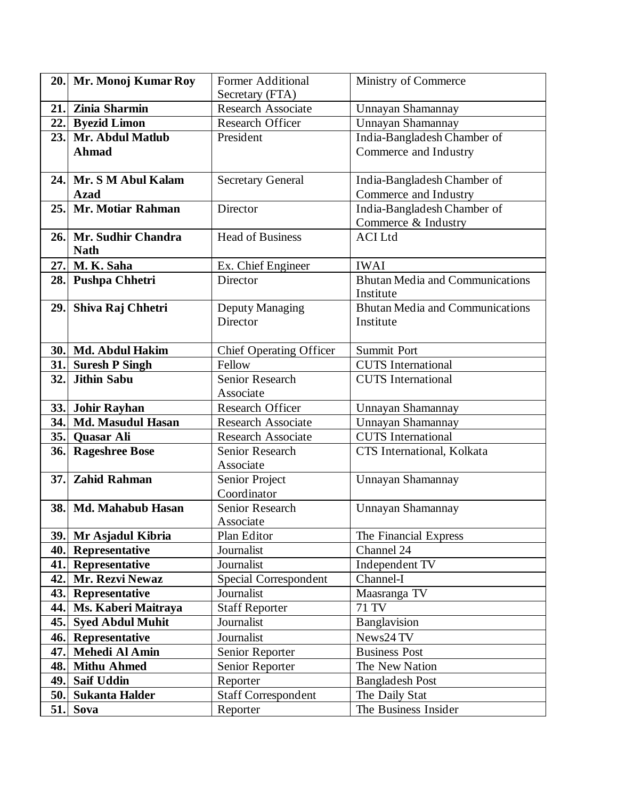| 20.1       | Mr. Monoj Kumar Roy      | <b>Former Additional</b>                            | Ministry of Commerce                                    |
|------------|--------------------------|-----------------------------------------------------|---------------------------------------------------------|
|            |                          | Secretary (FTA)                                     |                                                         |
| 21.        | Zinia Sharmin            | <b>Research Associate</b>                           | Unnayan Shamannay                                       |
| 22.1       | <b>Byezid Limon</b>      | Research Officer                                    | Unnayan Shamannay                                       |
| 23.        | Mr. Abdul Matlub         | President                                           | India-Bangladesh Chamber of                             |
|            | <b>Ahmad</b>             |                                                     | Commerce and Industry                                   |
|            |                          |                                                     |                                                         |
| 24.1       | Mr. S M Abul Kalam       | <b>Secretary General</b>                            | India-Bangladesh Chamber of                             |
|            | <b>Azad</b>              |                                                     | Commerce and Industry                                   |
| 25.        | Mr. Motiar Rahman        | Director                                            | India-Bangladesh Chamber of                             |
|            |                          |                                                     | Commerce & Industry                                     |
| <b>26.</b> | Mr. Sudhir Chandra       | <b>Head of Business</b>                             | <b>ACI</b> Ltd                                          |
|            | <b>Nath</b>              |                                                     |                                                         |
| 27.        | M. K. Saha               | Ex. Chief Engineer                                  | <b>IWAI</b>                                             |
| 28.        | <b>Pushpa Chhetri</b>    | Director                                            | <b>Bhutan Media and Communications</b>                  |
|            |                          |                                                     | Institute                                               |
| 29.        | Shiva Raj Chhetri        | Deputy Managing                                     | Bhutan Media and Communications                         |
|            |                          | Director                                            | Institute                                               |
|            |                          |                                                     |                                                         |
| 30.        | Md. Abdul Hakim          | <b>Chief Operating Officer</b>                      | <b>Summit Port</b>                                      |
| 31.        | <b>Suresh P Singh</b>    | Fellow                                              | <b>CUTS</b> International                               |
| 32.        | <b>Jithin Sabu</b>       | <b>Senior Research</b>                              | <b>CUTS</b> International                               |
|            |                          | Associate                                           |                                                         |
| 33.        | <b>Johir Rayhan</b>      | Research Officer                                    | <b>Unnayan Shamannay</b>                                |
| 34.        | <b>Md. Masudul Hasan</b> | <b>Research Associate</b>                           | Unnayan Shamannay                                       |
| 35.        | Quasar Ali               | <b>Research Associate</b><br><b>Senior Research</b> | <b>CUTS</b> International<br>CTS International, Kolkata |
| 36.        | <b>Rageshree Bose</b>    | Associate                                           |                                                         |
| 37.        | <b>Zahid Rahman</b>      | Senior Project                                      | Unnayan Shamannay                                       |
|            |                          | Coordinator                                         |                                                         |
| 38.        | Md. Mahabub Hasan        | Senior Research                                     | Unnayan Shamannay                                       |
|            |                          | Associate                                           |                                                         |
|            | 39. Mr Asjadul Kibria    | Plan Editor                                         | The Financial Express                                   |
| 40.        | <b>Representative</b>    | Journalist                                          | Channel 24                                              |
| 41.        | Representative           | Journalist                                          | Independent TV                                          |
| 42.        | Mr. Rezvi Newaz          | Special Correspondent                               | Channel-I                                               |
|            | 43. Representative       | Journalist                                          | Maasranga TV                                            |
| 44.        | Ms. Kaberi Maitraya      | <b>Staff Reporter</b>                               | 71 TV                                                   |
| 45.        | <b>Syed Abdul Muhit</b>  | Journalist                                          | Banglavision                                            |
| 46.        | <b>Representative</b>    | Journalist                                          | News24 TV                                               |
| 47.        | Mehedi Al Amin           | Senior Reporter                                     | <b>Business Post</b>                                    |
| 48.        | <b>Mithu Ahmed</b>       | Senior Reporter                                     | The New Nation                                          |
| 49.        | <b>Saif Uddin</b>        | Reporter                                            | <b>Bangladesh Post</b>                                  |
| 50.        | <b>Sukanta Halder</b>    | <b>Staff Correspondent</b>                          | The Daily Stat                                          |
| 51.        | Sova                     | Reporter                                            | The Business Insider                                    |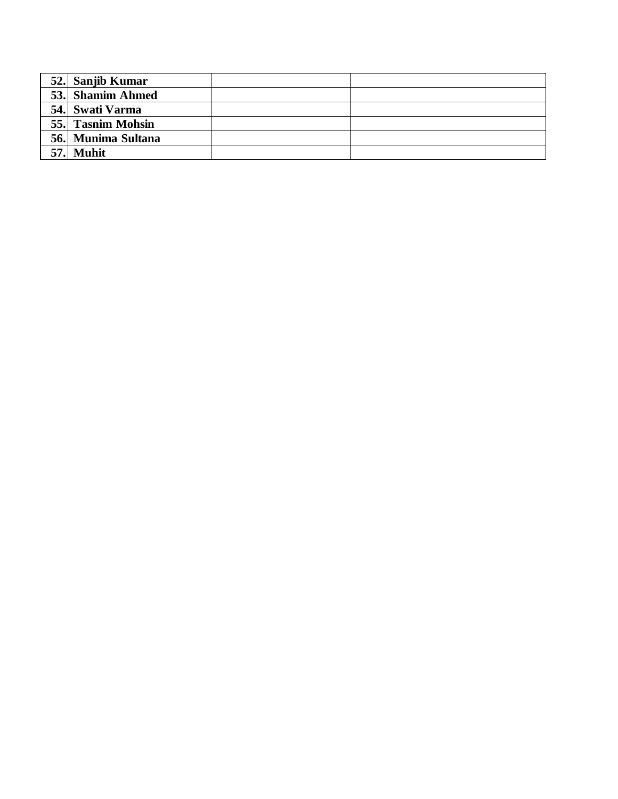|      | 52. Sanjib Kumar   |  |
|------|--------------------|--|
|      | 53. Shamim Ahmed   |  |
|      | 54. Swati Varma    |  |
|      | 55. Tasnim Mohsin  |  |
|      | 56. Munima Sultana |  |
| 57.1 | <b>Muhit</b>       |  |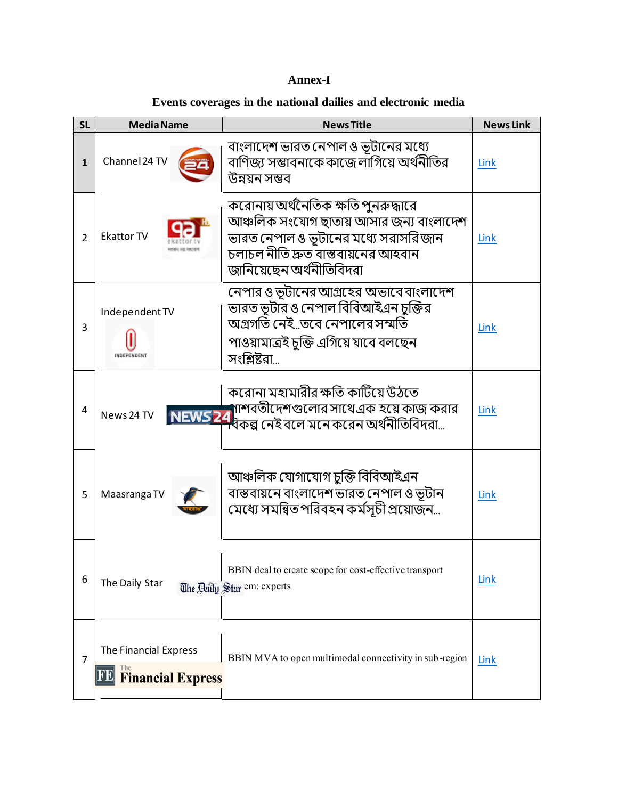## **Annex-I**

## **Events coverages in the national dailies and electronic media**

| <b>SL</b>      | <b>Media Name</b>                                    | <b>News Title</b>                                                                                                                                                                          | <b>News Link</b> |
|----------------|------------------------------------------------------|--------------------------------------------------------------------------------------------------------------------------------------------------------------------------------------------|------------------|
| $\mathbf{1}$   | Channel 24 TV                                        | বাংলাদেশ ভারত নেপাল ও ভূটানের মধ্যে<br>বাণিজ্য সম্ভাবনাকে কাজে লাগিয়ে অর্থনীতির<br>উন্নয়ন সম্ভব                                                                                          | Link             |
| $\overline{2}$ | <b>Ekattor TV</b>                                    | করোনায় অর্থনৈতিক ক্ষতি পুনরুদ্ধারে<br>আঞ্চলিক সংযোগ ছাতায় আসার জন্য বাংলাদেশ<br>ভারত নেপাল ও ভূটানের মধ্যে সরাসরি জান<br>চলাচল নীতি দ্রুত বাস্তবায়নের আহবান<br>জানিয়েছেন অর্থনীতিবিদরা | Link             |
| 3              | Independent TV<br>INDEPENDENT                        | নেপার ও ভূটানের আগ্রহের অভাবে বাংলাদেশ<br>ভারত ভূটার ও নেপাল বিবিআইএন চুক্তির<br>অগ্রগতি নেইতবে নেপালের সম্মতি<br>পাওয়ামাত্ৰই চুক্তি এগিয়ে যাবে বলছেন<br>সংশ্লিষ্টরা                     | Link             |
| 4              | News 24 TV                                           | করোনা মহামারীর ক্ষতি কাটিয়ে উঠতে<br>MEWS 24 শাশবতীদেশগুলোর সাথে এক হয়ে কাজ করার<br>NEWS 24 বকল্প নেই বলে মনে করেন অর্থনীতিবিদরা                                                          | Link             |
| 5              | Maasranga TV                                         | আঞ্চলিক যোগাযোগ চুক্তি বিবিআইএন<br>বাস্তবায়নে বাংলাদেশ ভারত নেপাল ও ভূটান<br>মেধ্যে সমন্বিত পরিবহন কর্মসূচী প্রয়োজন…                                                                     | Link             |
| 6              | The Daily Star                                       | BBIN deal to create scope for cost-effective transport<br>The Baily Star em: experts                                                                                                       | Link             |
| 7              | The Financial Express<br><b>FE Financial Express</b> | BBIN MVA to open multimodal connectivity in sub-region                                                                                                                                     | Link             |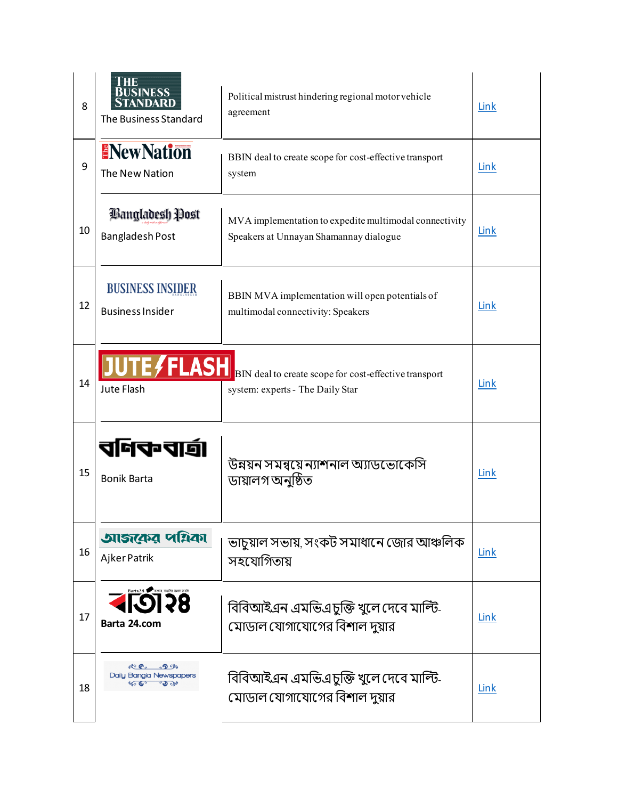| 8  | IME<br>BUSINESS<br>STANDARD<br>The Business Standard                   | Political mistrust hindering regional motor vehicle<br>agreement                                       | Link |
|----|------------------------------------------------------------------------|--------------------------------------------------------------------------------------------------------|------|
| 9  | <b>ENewNation</b><br>The New Nation                                    | BBIN deal to create scope for cost-effective transport<br>system                                       | Link |
| 10 | Bangladesh Post<br><b>Bangladesh Post</b>                              | MVA implementation to expedite multimodal connectivity<br>Speakers at Unnayan Shamannay dialogue       | Link |
| 12 | <b>BUSINESS INSIDER</b><br><b>Business Insider</b>                     | BBIN MVA implementation will open potentials of<br>multimodal connectivity: Speakers                   | Link |
| 14 | Jute Flash                                                             | <b>TEASH</b> BIN deal to create scope for cost-effective transport<br>system: experts - The Daily Star | Link |
| 15 | <b>Bonik Barta</b>                                                     | উন্নয়ন সমন্বয়ে ন্যাশনাল অ্যাডভোকেসি<br>ডায়ালগ অনুষ্ঠিত                                              | Link |
| 16 | আজকের পয়িকা<br>Ajker Patrik                                           | ভাচুয়াল সভায়, সংকট সমাধানে জোর আঞ্চলিক<br>সহযোগিতায়                                                 | Link |
| 17 | $Barta24$ , বংশার, বাওলির সংবাদ সারথি<br>158<br>Barta 24.com           | বিবিআইএন এমভিএচুক্তি খুলে দেবে মাল্টি-<br>মোডাল যোগাযোগের বিশাল দুয়ার                                 | Link |
| 18 | $ACe$ $D$ %<br><b>Daily Bangla Newspapers</b><br><b>SO GO</b><br>್ರಾ ಜ | বিবিআইএন এমভিএচুক্তি খুলে দেবে মাল্টি-<br>মোডাল যোগাযোগের বিশাল দুয়ার                                 | Link |